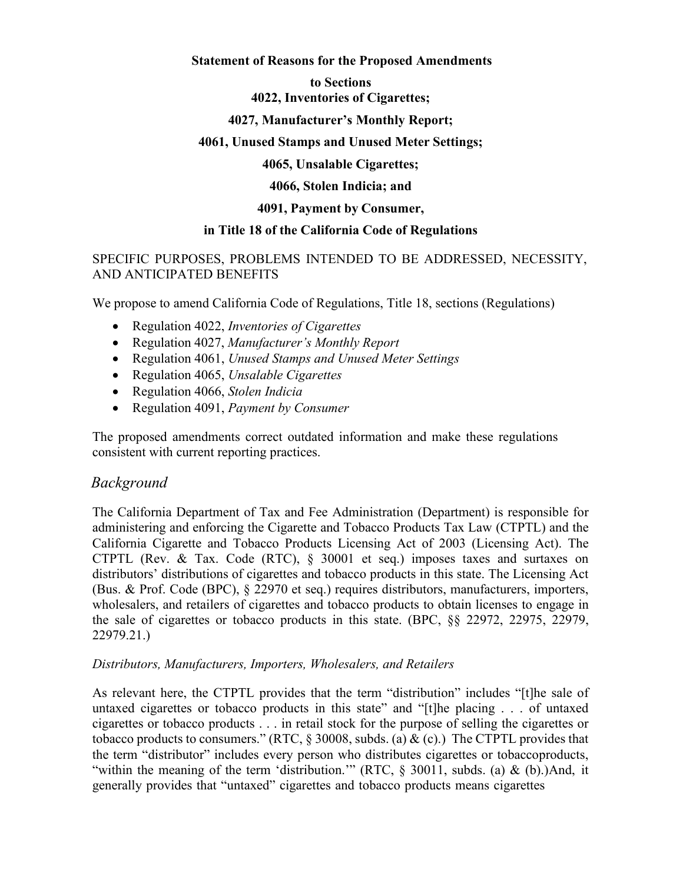## **Statement of Reasons for the Proposed Amendments**

#### **to Sections 4022, Inventories of Cigarettes;**

# **4027, Manufacturer's Monthly Report;**

# **4061, Unused Stamps and Unused Meter Settings;**

**4065, Unsalable Cigarettes;** 

**4066, Stolen Indicia; and**

## **4091, Payment by Consumer,**

## **in Title 18 of the California Code of Regulations**

# SPECIFIC PURPOSES, PROBLEMS INTENDED TO BE ADDRESSED, NECESSITY, AND ANTICIPATED BENEFITS

We propose to amend California Code of Regulations, Title 18, sections (Regulations)

- Regulation 4022, *Inventories of Cigarettes*
- Regulation 4027, *Manufacturer's Monthly Report*
- Regulation 4061, *Unused Stamps and Unused Meter Settings*
- Regulation 4065, *Unsalable Cigarettes*
- Regulation 4066, *Stolen Indicia*
- Regulation 4091, *Payment by Consumer*

The proposed amendments correct outdated information and make these regulations consistent with current reporting practices.

# *Background*

The California Department of Tax and Fee Administration (Department) is responsible for administering and enforcing the Cigarette and Tobacco Products Tax Law (CTPTL) and the California Cigarette and Tobacco Products Licensing Act of 2003 (Licensing Act). The CTPTL (Rev. & Tax. Code (RTC), § 30001 et seq.) imposes taxes and surtaxes on distributors' distributions of cigarettes and tobacco products in this state. The Licensing Act (Bus. & Prof. Code (BPC), § 22970 et seq.) requires distributors, manufacturers, importers, wholesalers, and retailers of cigarettes and tobacco products to obtain licenses to engage in the sale of cigarettes or tobacco products in this state. (BPC, §§ 22972, 22975, 22979, 22979.21.)

# *Distributors, Manufacturers, Importers, Wholesalers, and Retailers*

As relevant here, the CTPTL provides that the term "distribution" includes "[t]he sale of untaxed cigarettes or tobacco products in this state" and "[t]he placing . . . of untaxed cigarettes or tobacco products . . . in retail stock for the purpose of selling the cigarettes or tobacco products to consumers." (RTC,  $\S$  30008, subds. (a) & (c).) The CTPTL provides that the term "distributor" includes every person who distributes cigarettes or tobaccoproducts, "within the meaning of the term 'distribution." (RTC, § 30011, subds. (a) & (b).)And, it generally provides that "untaxed" cigarettes and tobacco products means cigarettes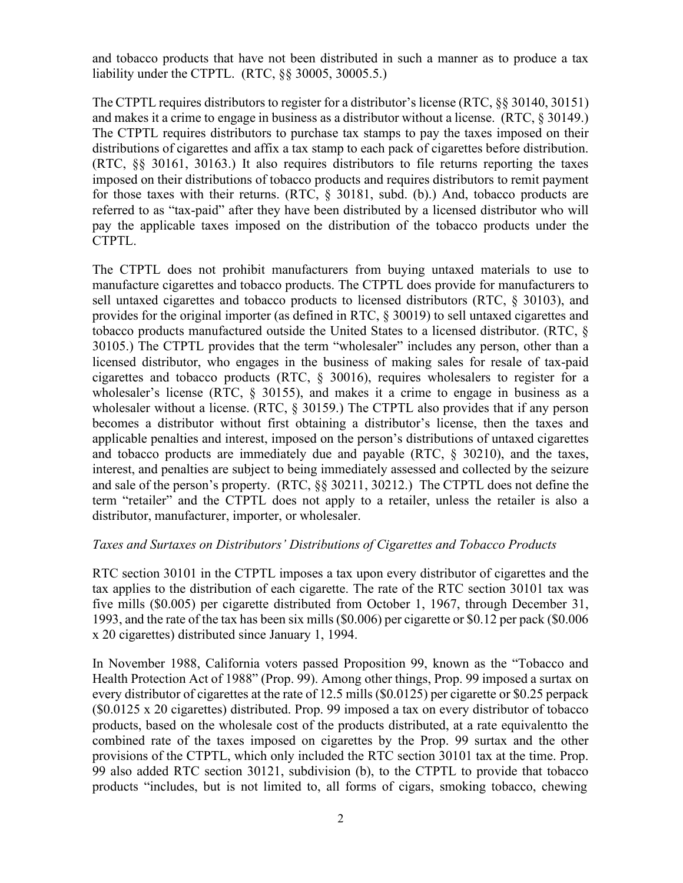and tobacco products that have not been distributed in such a manner as to produce a tax liability under the CTPTL. (RTC, §§ 30005, 30005.5.)

The CTPTL requires distributors to register for a distributor's license (RTC, §§ 30140, 30151) and makes it a crime to engage in business as a distributor without a license. (RTC, § 30149.) The CTPTL requires distributors to purchase tax stamps to pay the taxes imposed on their distributions of cigarettes and affix a tax stamp to each pack of cigarettes before distribution. (RTC, §§ 30161, 30163.) It also requires distributors to file returns reporting the taxes imposed on their distributions of tobacco products and requires distributors to remit payment for those taxes with their returns. (RTC, § 30181, subd. (b).) And, tobacco products are referred to as "tax-paid" after they have been distributed by a licensed distributor who will pay the applicable taxes imposed on the distribution of the tobacco products under the CTPTL.

The CTPTL does not prohibit manufacturers from buying untaxed materials to use to manufacture cigarettes and tobacco products. The CTPTL does provide for manufacturers to sell untaxed cigarettes and tobacco products to licensed distributors (RTC, § 30103), and provides for the original importer (as defined in RTC, § 30019) to sell untaxed cigarettes and tobacco products manufactured outside the United States to a licensed distributor. (RTC, § 30105.) The CTPTL provides that the term "wholesaler" includes any person, other than a licensed distributor, who engages in the business of making sales for resale of tax-paid cigarettes and tobacco products (RTC, § 30016), requires wholesalers to register for a wholesaler's license (RTC, § 30155), and makes it a crime to engage in business as a wholesaler without a license. (RTC, § 30159.) The CTPTL also provides that if any person becomes a distributor without first obtaining a distributor's license, then the taxes and applicable penalties and interest, imposed on the person's distributions of untaxed cigarettes and tobacco products are immediately due and payable (RTC, § 30210), and the taxes, interest, and penalties are subject to being immediately assessed and collected by the seizure and sale of the person's property. (RTC, §§ 30211, 30212.) The CTPTL does not define the term "retailer" and the CTPTL does not apply to a retailer, unless the retailer is also a distributor, manufacturer, importer, or wholesaler.

## *Taxes and Surtaxes on Distributors' Distributions of Cigarettes and Tobacco Products*

RTC section 30101 in the CTPTL imposes a tax upon every distributor of cigarettes and the tax applies to the distribution of each cigarette. The rate of the RTC section 30101 tax was five mills (\$0.005) per cigarette distributed from October 1, 1967, through December 31, 1993, and the rate of the tax has been six mills (\$0.006) per cigarette or \$0.12 per pack (\$0.006 x 20 cigarettes) distributed since January 1, 1994.

In November 1988, California voters passed Proposition 99, known as the "Tobacco and Health Protection Act of 1988" (Prop. 99). Among other things, Prop. 99 imposed a surtax on every distributor of cigarettes at the rate of 12.5 mills (\$0.0125) per cigarette or \$0.25 perpack (\$0.0125 x 20 cigarettes) distributed. Prop. 99 imposed a tax on every distributor of tobacco products, based on the wholesale cost of the products distributed, at a rate equivalent to the combined rate of the taxes imposed on cigarettes by the Prop. 99 surtax and the other provisions of the CTPTL, which only included the RTC section 30101 tax at the time. Prop. 99 also added RTC section 30121, subdivision (b), to the CTPTL to provide that tobacco products "includes, but is not limited to, all forms of cigars, smoking tobacco, chewing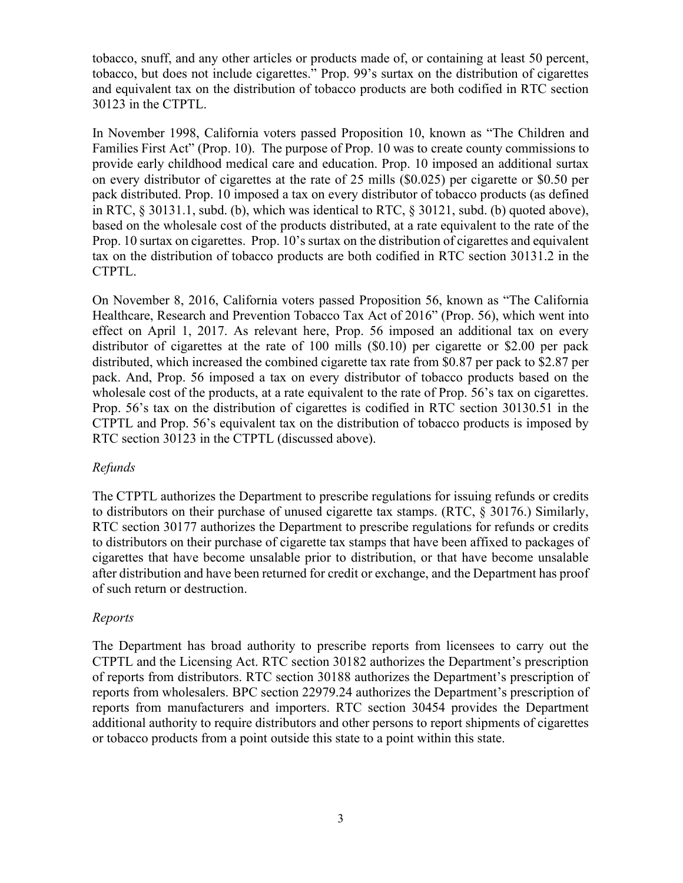tobacco, snuff, and any other articles or products made of, or containing at least 50 percent, tobacco, but does not include cigarettes." Prop. 99's surtax on the distribution of cigarettes and equivalent tax on the distribution of tobacco products are both codified in RTC section 30123 in the CTPTL.

In November 1998, California voters passed Proposition 10, known as "The Children and Families First Act" (Prop. 10). The purpose of Prop. 10 was to create county commissions to provide early childhood medical care and education. Prop. 10 imposed an additional surtax on every distributor of cigarettes at the rate of 25 mills (\$0.025) per cigarette or \$0.50 per pack distributed. Prop. 10 imposed a tax on every distributor of tobacco products (as defined in RTC, § 30131.1, subd. (b), which was identical to RTC, § 30121, subd. (b) quoted above), based on the wholesale cost of the products distributed, at a rate equivalent to the rate of the Prop. 10 surtax on cigarettes. Prop. 10's surtax on the distribution of cigarettes and equivalent tax on the distribution of tobacco products are both codified in RTC section 30131.2 in the CTPTL.

On November 8, 2016, California voters passed Proposition 56, known as "The California Healthcare, Research and Prevention Tobacco Tax Act of 2016" (Prop. 56), which went into effect on April 1, 2017. As relevant here, Prop. 56 imposed an additional tax on every distributor of cigarettes at the rate of 100 mills (\$0.10) per cigarette or \$2.00 per pack distributed, which increased the combined cigarette tax rate from \$0.87 per pack to \$2.87 per pack. And, Prop. 56 imposed a tax on every distributor of tobacco products based on the wholesale cost of the products, at a rate equivalent to the rate of Prop. 56's tax on cigarettes. Prop. 56's tax on the distribution of cigarettes is codified in RTC section 30130.51 in the CTPTL and Prop. 56's equivalent tax on the distribution of tobacco products is imposed by RTC section 30123 in the CTPTL (discussed above).

## *Refunds*

The CTPTL authorizes the Department to prescribe regulations for issuing refunds or credits to distributors on their purchase of unused cigarette tax stamps. (RTC, § 30176.) Similarly, RTC section 30177 authorizes the Department to prescribe regulations for refunds or credits to distributors on their purchase of cigarette tax stamps that have been affixed to packages of cigarettes that have become unsalable prior to distribution, or that have become unsalable after distribution and have been returned for credit or exchange, and the Department has proof of such return or destruction.

## *Reports*

The Department has broad authority to prescribe reports from licensees to carry out the CTPTL and the Licensing Act. RTC section 30182 authorizes the Department's prescription of reports from distributors. RTC section 30188 authorizes the Department's prescription of reports from wholesalers. BPC section 22979.24 authorizes the Department's prescription of reports from manufacturers and importers. RTC section 30454 provides the Department additional authority to require distributors and other persons to report shipments of cigarettes or tobacco products from a point outside this state to a point within this state.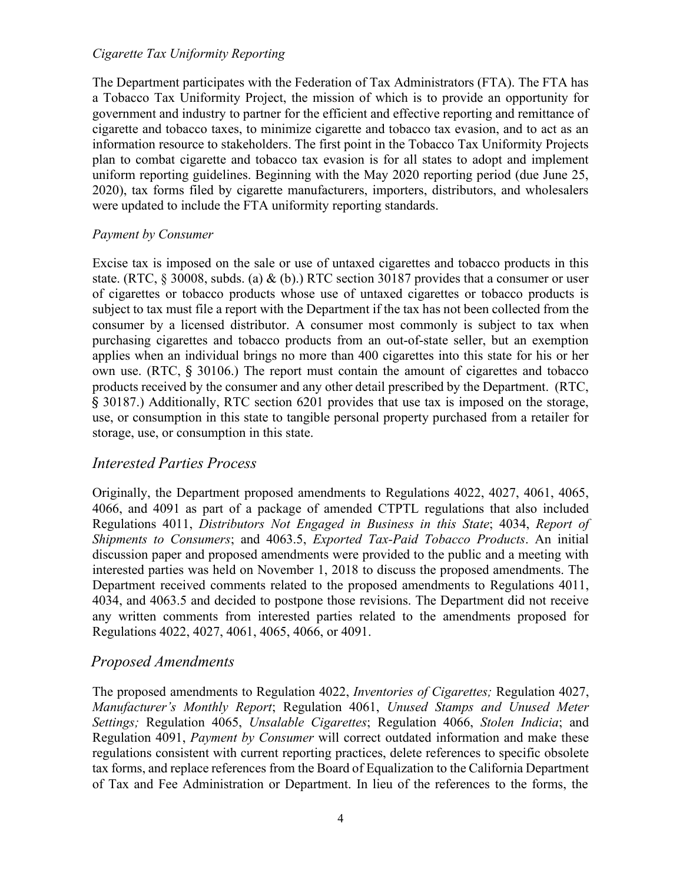#### *Cigarette Tax Uniformity Reporting*

The Department participates with the Federation of Tax Administrators (FTA). The FTA has a Tobacco Tax Uniformity Project, the mission of which is to provide an opportunity for government and industry to partner for the efficient and effective reporting and remittance of cigarette and tobacco taxes, to minimize cigarette and tobacco tax evasion, and to act as an information resource to stakeholders. The first point in the Tobacco Tax Uniformity Projects plan to combat cigarette and tobacco tax evasion is for all states to adopt and implement uniform reporting guidelines. Beginning with the May 2020 reporting period (due June 25, 2020), tax forms filed by cigarette manufacturers, importers, distributors, and wholesalers were updated to include the FTA uniformity reporting standards.

## *Payment by Consumer*

Excise tax is imposed on the sale or use of untaxed cigarettes and tobacco products in this state. (RTC,  $\&$  30008, subds. (a) & (b).) RTC section 30187 provides that a consumer or user of cigarettes or tobacco products whose use of untaxed cigarettes or tobacco products is subject to tax must file a report with the Department if the tax has not been collected from the consumer by a licensed distributor. A consumer most commonly is subject to tax when purchasing cigarettes and tobacco products from an out-of-state seller, but an exemption applies when an individual brings no more than 400 cigarettes into this state for his or her own use. (RTC, § 30106.) The report must contain the amount of cigarettes and tobacco products received by the consumer and any other detail prescribed by the Department. (RTC, § 30187.) Additionally, RTC section 6201 provides that use tax is imposed on the storage, use, or consumption in this state to tangible personal property purchased from a retailer for storage, use, or consumption in this state.

# *Interested Parties Process*

Originally, the Department proposed amendments to Regulations 4022, 4027, 4061, 4065, 4066, and 4091 as part of a package of amended CTPTL regulations that also included Regulations 4011, *Distributors Not Engaged in Business in this State*; 4034, *Report of Shipments to Consumers*; and 4063.5, *Exported Tax-Paid Tobacco Products*. An initial discussion paper and proposed amendments were provided to the public and a meeting with interested parties was held on November 1, 2018 to discuss the proposed amendments. The Department received comments related to the proposed amendments to Regulations 4011, 4034, and 4063.5 and decided to postpone those revisions. The Department did not receive any written comments from interested parties related to the amendments proposed for Regulations 4022, 4027, 4061, 4065, 4066, or 4091.

# *Proposed Amendments*

The proposed amendments to Regulation 4022, *Inventories of Cigarettes;* Regulation 4027, *Manufacturer's Monthly Report*; Regulation 4061, *Unused Stamps and Unused Meter Settings;* Regulation 4065, *Unsalable Cigarettes*; Regulation 4066, *Stolen Indicia*; and Regulation 4091, *Payment by Consumer* will correct outdated information and make these regulations consistent with current reporting practices, delete references to specific obsolete tax forms, and replace references from the Board of Equalization to the California Department of Tax and Fee Administration or Department. In lieu of the references to the forms, the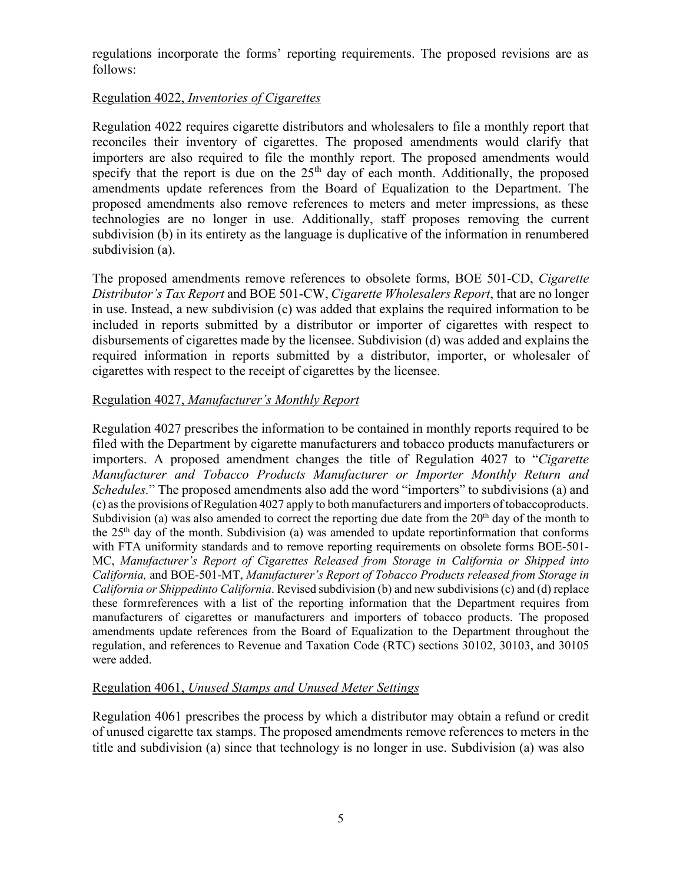regulations incorporate the forms' reporting requirements. The proposed revisions are as follows:

# Regulation 4022, *Inventories of Cigarettes*

Regulation 4022 requires cigarette distributors and wholesalers to file a monthly report that reconciles their inventory of cigarettes. The proposed amendments would clarify that importers are also required to file the monthly report. The proposed amendments would specify that the report is due on the  $25<sup>th</sup>$  day of each month. Additionally, the proposed amendments update references from the Board of Equalization to the Department. The proposed amendments also remove references to meters and meter impressions, as these technologies are no longer in use. Additionally, staff proposes removing the current subdivision (b) in its entirety as the language is duplicative of the information in renumbered subdivision (a).

The proposed amendments remove references to obsolete forms, BOE 501-CD, *Cigarette Distributor's Tax Report* and BOE 501-CW, *Cigarette Wholesalers Report*, that are no longer in use. Instead, a new subdivision (c) was added that explains the required information to be included in reports submitted by a distributor or importer of cigarettes with respect to disbursements of cigarettes made by the licensee. Subdivision (d) was added and explains the required information in reports submitted by a distributor, importer, or wholesaler of cigarettes with respect to the receipt of cigarettes by the licensee.

## Regulation 4027, *Manufacturer's Monthly Report*

Regulation 4027 prescribes the information to be contained in monthly reports required to be filed with the Department by cigarette manufacturers and tobacco products manufacturers or importers. A proposed amendment changes the title of Regulation 4027 to "*Cigarette Manufacturer and Tobacco Products Manufacturer or Importer Monthly Return and Schedules.*" The proposed amendments also add the word "importers" to subdivisions (a) and (c) as the provisions of Regulation 4027 apply to both manufacturers and importers of tobacco products. Subdivision (a) was also amended to correct the reporting due date from the  $20<sup>th</sup>$  day of the month to the  $25<sup>th</sup>$  day of the month. Subdivision (a) was amended to update reportinformation that conforms with FTA uniformity standards and to remove reporting requirements on obsolete forms BOE-501-MC, *Manufacturer's Report of Cigarettes Released from Storage in California or Shipped into California,* and BOE-501-MT, *Manufacturer's Report of Tobacco Products released from Storage in California or Shippedinto California*. Revised subdivision (b) and new subdivisions (c) and (d) replace these formreferences with a list of the reporting information that the Department requires from manufacturers of cigarettes or manufacturers and importers of tobacco products. The proposed amendments update references from the Board of Equalization to the Department throughout the regulation, and references to Revenue and Taxation Code (RTC) sections 30102, 30103, and 30105 were added.

## Regulation 4061, *Unused Stamps and Unused Meter Settings*

Regulation 4061 prescribes the process by which a distributor may obtain a refund or credit of unused cigarette tax stamps. The proposed amendments remove references to meters in the title and subdivision (a) since that technology is no longer in use. Subdivision (a) was also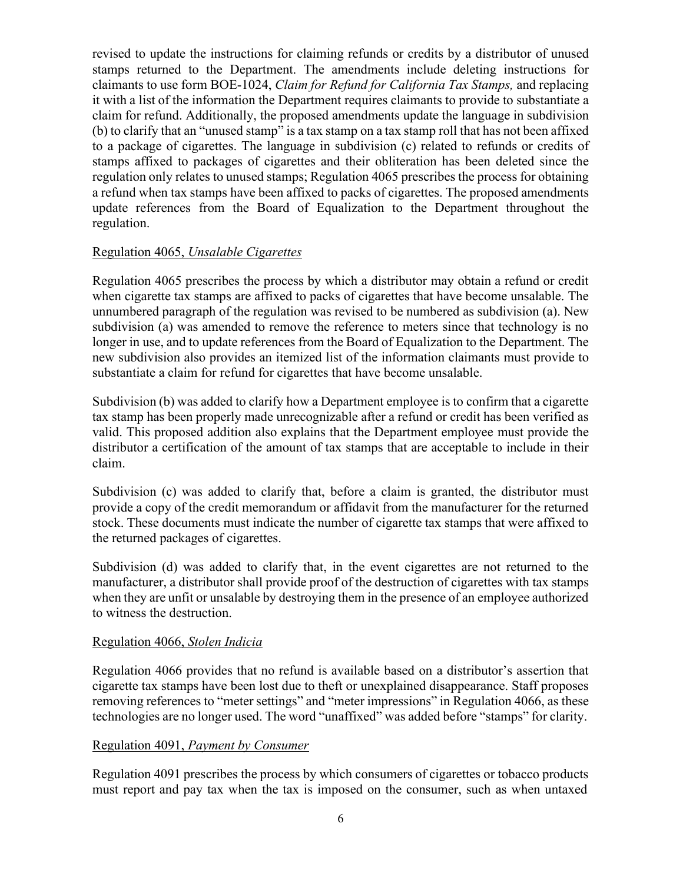revised to update the instructions for claiming refunds or credits by a distributor of unused stamps returned to the Department. The amendments include deleting instructions for claimants to use form BOE-1024, *Claim for Refund for California Tax Stamps,* and replacing it with a list of the information the Department requires claimants to provide to substantiate a claim for refund. Additionally, the proposed amendments update the language in subdivision (b) to clarify that an "unused stamp" is a tax stamp on a tax stamp roll that has not been affixed to a package of cigarettes. The language in subdivision (c) related to refunds or credits of stamps affixed to packages of cigarettes and their obliteration has been deleted since the regulation only relates to unused stamps; Regulation 4065 prescribes the process for obtaining a refund when tax stamps have been affixed to packs of cigarettes. The proposed amendments update references from the Board of Equalization to the Department throughout the regulation.

## Regulation 4065, *Unsalable Cigarettes*

Regulation 4065 prescribes the process by which a distributor may obtain a refund or credit when cigarette tax stamps are affixed to packs of cigarettes that have become unsalable. The unnumbered paragraph of the regulation was revised to be numbered as subdivision (a). New subdivision (a) was amended to remove the reference to meters since that technology is no longer in use, and to update references from the Board of Equalization to the Department. The new subdivision also provides an itemized list of the information claimants must provide to substantiate a claim for refund for cigarettes that have become unsalable.

Subdivision (b) was added to clarify how a Department employee is to confirm that a cigarette tax stamp has been properly made unrecognizable after a refund or credit has been verified as valid. This proposed addition also explains that the Department employee must provide the distributor a certification of the amount of tax stamps that are acceptable to include in their claim.

Subdivision (c) was added to clarify that, before a claim is granted, the distributor must provide a copy of the credit memorandum or affidavit from the manufacturer for the returned stock. These documents must indicate the number of cigarette tax stamps that were affixed to the returned packages of cigarettes.

Subdivision (d) was added to clarify that, in the event cigarettes are not returned to the manufacturer, a distributor shall provide proof of the destruction of cigarettes with tax stamps when they are unfit or unsalable by destroying them in the presence of an employee authorized to witness the destruction.

## Regulation 4066, *Stolen Indicia*

Regulation 4066 provides that no refund is available based on a distributor's assertion that cigarette tax stamps have been lost due to theft or unexplained disappearance. Staff proposes removing references to "meter settings" and "meter impressions" in Regulation 4066, as these technologies are no longer used. The word "unaffixed" was added before "stamps" for clarity.

## Regulation 4091, *Payment by Consumer*

Regulation 4091 prescribes the process by which consumers of cigarettes or tobacco products must report and pay tax when the tax is imposed on the consumer, such as when untaxed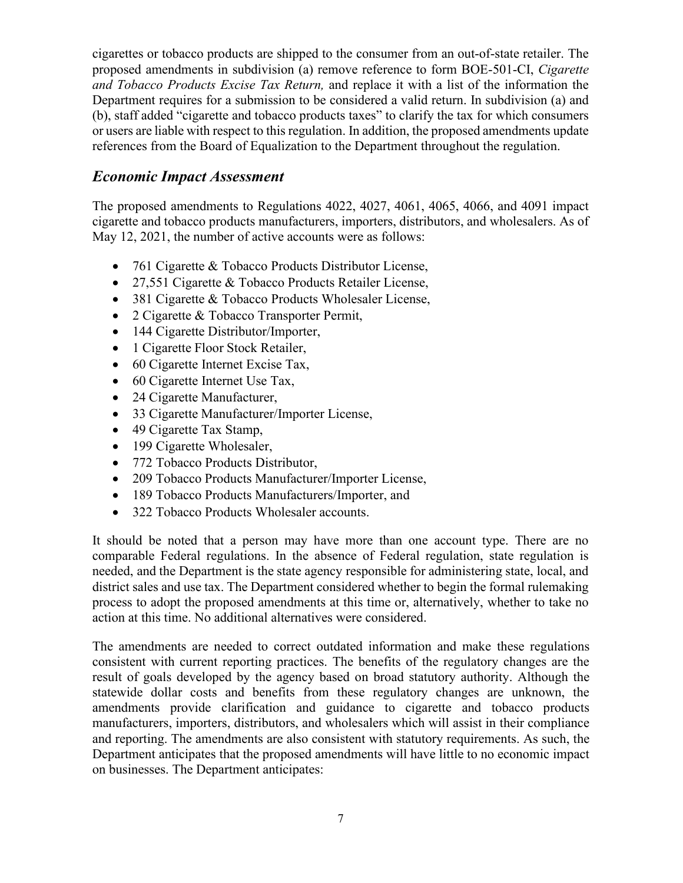cigarettes or tobacco products are shipped to the consumer from an out-of-state retailer. The proposed amendments in subdivision (a) remove reference to form BOE-501-CI, *Cigarette and Tobacco Products Excise Tax Return,* and replace it with a list of the information the Department requires for a submission to be considered a valid return. In subdivision (a) and (b), staff added "cigarette and tobacco products taxes" to clarify the tax for which consumers or users are liable with respect to this regulation. In addition, the proposed amendments update references from the Board of Equalization to the Department throughout the regulation.

# *Economic Impact Assessment*

The proposed amendments to Regulations 4022, 4027, 4061, 4065, 4066, and 4091 impact cigarette and tobacco products manufacturers, importers, distributors, and wholesalers. As of May 12, 2021, the number of active accounts were as follows:

- 761 Cigarette & Tobacco Products Distributor License,
- 27,551 Cigarette & Tobacco Products Retailer License,
- 381 Cigarette & Tobacco Products Wholesaler License,
- 2 Cigarette & Tobacco Transporter Permit,
- 144 Cigarette Distributor/Importer,
- 1 Cigarette Floor Stock Retailer,
- 60 Cigarette Internet Excise Tax,
- 60 Cigarette Internet Use Tax,
- 24 Cigarette Manufacturer,
- 33 Cigarette Manufacturer/Importer License,
- 49 Cigarette Tax Stamp,
- 199 Cigarette Wholesaler,
- 772 Tobacco Products Distributor,
- 209 Tobacco Products Manufacturer/Importer License,
- 189 Tobacco Products Manufacturers/Importer, and
- 322 Tobacco Products Wholesaler accounts.

It should be noted that a person may have more than one account type. There are no comparable Federal regulations. In the absence of Federal regulation, state regulation is needed, and the Department is the state agency responsible for administering state, local, and district sales and use tax. The Department considered whether to begin the formal rulemaking process to adopt the proposed amendments at this time or, alternatively, whether to take no action at this time. No additional alternatives were considered.

The amendments are needed to correct outdated information and make these regulations consistent with current reporting practices. The benefits of the regulatory changes are the result of goals developed by the agency based on broad statutory authority. Although the statewide dollar costs and benefits from these regulatory changes are unknown, the amendments provide clarification and guidance to cigarette and tobacco products manufacturers, importers, distributors, and wholesalers which will assist in their compliance and reporting. The amendments are also consistent with statutory requirements. As such, the Department anticipates that the proposed amendments will have little to no economic impact on businesses. The Department anticipates: